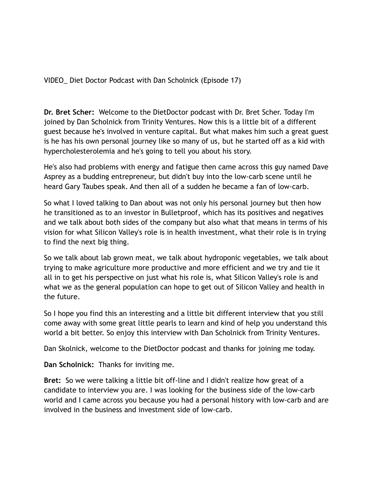VIDEO\_ Diet Doctor Podcast with Dan Scholnick (Episode 17)

**Dr. Bret Scher:** Welcome to the DietDoctor podcast with Dr. Bret Scher. Today I'm joined by Dan Scholnick from Trinity Ventures. Now this is a little bit of a different guest because he's involved in venture capital. But what makes him such a great guest is he has his own personal journey like so many of us, but he started off as a kid with hypercholesterolemia and he's going to tell you about his story.

He's also had problems with energy and fatigue then came across this guy named Dave Asprey as a budding entrepreneur, but didn't buy into the low-carb scene until he heard Gary Taubes speak. And then all of a sudden he became a fan of low-carb.

So what I loved talking to Dan about was not only his personal journey but then how he transitioned as to an investor in Bulletproof, which has its positives and negatives and we talk about both sides of the company but also what that means in terms of his vision for what Silicon Valley's role is in health investment, what their role is in trying to find the next big thing.

So we talk about lab grown meat, we talk about hydroponic vegetables, we talk about trying to make agriculture more productive and more efficient and we try and tie it all in to get his perspective on just what his role is, what Silicon Valley's role is and what we as the general population can hope to get out of Silicon Valley and health in the future.

So I hope you find this an interesting and a little bit different interview that you still come away with some great little pearls to learn and kind of help you understand this world a bit better. So enjoy this interview with Dan Scholnick from Trinity Ventures.

Dan Skolnick, welcome to the DietDoctor podcast and thanks for joining me today.

**Dan Scholnick:** Thanks for inviting me.

**Bret:** So we were talking a little bit off-line and I didn't realize how great of a candidate to interview you are. I was looking for the business side of the low-carb world and I came across you because you had a personal history with low-carb and are involved in the business and investment side of low-carb.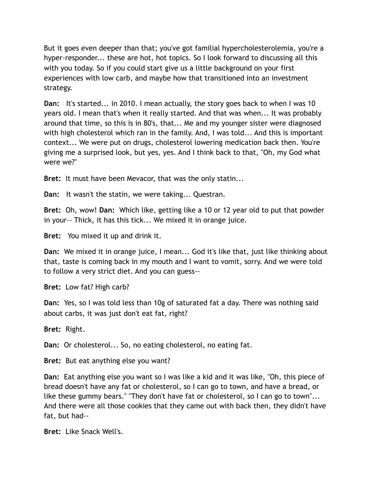But it goes even deeper than that; you've got familial hypercholesterolemia, you're a hyper-responder... these are hot, hot topics. So I look forward to discussing all this with you today. So if you could start give us a little background on your first experiences with low carb, and maybe how that transitioned into an investment strategy.

**Dan:** It's started... in 2010. I mean actually, the story goes back to when I was 10 years old. I mean that's when it really started. And that was when... It was probably around that time, so this is in 80's, that... Me and my younger sister were diagnosed with high cholesterol which ran in the family. And, I was told... And this is important context... We were put on drugs, cholesterol lowering medication back then. You're giving me a surprised look, but yes, yes. And I think back to that, "Oh, my God what were we?"

**Bret:** It must have been Mevacor, that was the only statin...

**Dan:** It wasn't the statin, we were taking... Questran.

**Bret:** Oh, wow! **Dan:** Which like, getting like a 10 or 12 year old to put that powder in your-- Thick, it has this tick... We mixed it in orange juice.

**Bret:** You mixed it up and drink it.

**Dan:** We mixed it in orange juice, I mean... God it's like that, just like thinking about that, taste is coming back in my mouth and I want to vomit, sorry. And we were told to follow a very strict diet. And you can guess--

**Bret:** Low fat? High carb?

**Dan:** Yes, so I was told less than 10g of saturated fat a day. There was nothing said about carbs, it was just don't eat fat, right?

**Bret:** Right.

**Dan:** Or cholesterol... So, no eating cholesterol, no eating fat.

**Bret:** But eat anything else you want?

**Dan:** Eat anything else you want so I was like a kid and it was like, "Oh, this piece of bread doesn't have any fat or cholesterol, so I can go to town, and have a bread, or like these gummy bears." "They don't have fat or cholesterol, so I can go to town"... And there were all those cookies that they came out with back then, they didn't have fat, but had--

**Bret:** Like Snack Well's.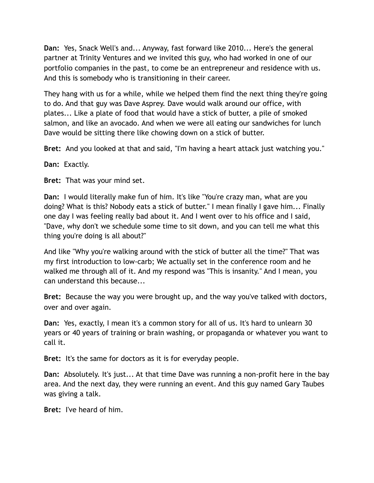**Dan:** Yes, Snack Well's and... Anyway, fast forward like 2010... Here's the general partner at Trinity Ventures and we invited this guy, who had worked in one of our portfolio companies in the past, to come be an entrepreneur and residence with us. And this is somebody who is transitioning in their career.

They hang with us for a while, while we helped them find the next thing they're going to do. And that guy was Dave Asprey. Dave would walk around our office, with plates... Like a plate of food that would have a stick of butter, a pile of smoked salmon, and like an avocado. And when we were all eating our sandwiches for lunch Dave would be sitting there like chowing down on a stick of butter.

**Bret:** And you looked at that and said, "I'm having a heart attack just watching you."

**Dan:** Exactly.

**Bret:** That was your mind set.

**Dan:** I would literally make fun of him. It's like "You're crazy man, what are you doing? What is this? Nobody eats a stick of butter." I mean finally I gave him... Finally one day I was feeling really bad about it. And I went over to his office and I said, "Dave, why don't we schedule some time to sit down, and you can tell me what this thing you're doing is all about?"

And like "Why you're walking around with the stick of butter all the time?" That was my first introduction to low-carb; We actually set in the conference room and he walked me through all of it. And my respond was "This is insanity." And I mean, you can understand this because...

**Bret:** Because the way you were brought up, and the way you've talked with doctors, over and over again.

**Dan:** Yes, exactly, I mean it's a common story for all of us. It's hard to unlearn 30 years or 40 years of training or brain washing, or propaganda or whatever you want to call it.

**Bret:** It's the same for doctors as it is for everyday people.

**Dan:** Absolutely. It's just... At that time Dave was running a non-profit here in the bay area. And the next day, they were running an event. And this guy named Gary Taubes was giving a talk.

**Bret:** I've heard of him.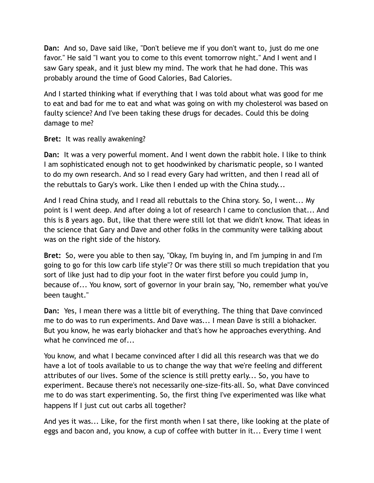**Dan:** And so, Dave said like, "Don't believe me if you don't want to, just do me one favor." He said "I want you to come to this event tomorrow night." And I went and I saw Gary speak, and it just blew my mind. The work that he had done. This was probably around the time of Good Calories, Bad Calories.

And I started thinking what if everything that I was told about what was good for me to eat and bad for me to eat and what was going on with my cholesterol was based on faulty science? And I've been taking these drugs for decades. Could this be doing damage to me?

## **Bret:** It was really awakening?

**Dan:** It was a very powerful moment. And I went down the rabbit hole. I like to think I am sophisticated enough not to get hoodwinked by charismatic people, so I wanted to do my own research. And so I read every Gary had written, and then I read all of the rebuttals to Gary's work. Like then I ended up with the China study...

And I read China study, and I read all rebuttals to the China story. So, I went... My point is I went deep. And after doing a lot of research I came to conclusion that... And this is 8 years ago. But, like that there were still lot that we didn't know. That ideas in the science that Gary and Dave and other folks in the community were talking about was on the right side of the history.

**Bret:** So, were you able to then say, "Okay, I'm buying in, and I'm jumping in and I'm going to go for this low carb life style"? Or was there still so much trepidation that you sort of like just had to dip your foot in the water first before you could jump in, because of... You know, sort of governor in your brain say, "No, remember what you've been taught."

**Dan:** Yes, I mean there was a little bit of everything. The thing that Dave convinced me to do was to run experiments. And Dave was... I mean Dave is still a biohacker. But you know, he was early biohacker and that's how he approaches everything. And what he convinced me of...

You know, and what I became convinced after I did all this research was that we do have a lot of tools available to us to change the way that we're feeling and different attributes of our lives. Some of the science is still pretty early... So, you have to experiment. Because there's not necessarily one-size-fits-all. So, what Dave convinced me to do was start experimenting. So, the first thing I've experimented was like what happens If I just cut out carbs all together?

And yes it was... Like, for the first month when I sat there, like looking at the plate of eggs and bacon and, you know, a cup of coffee with butter in it... Every time I went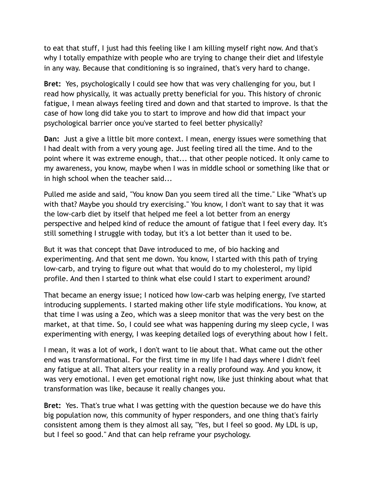to eat that stuff, I just had this feeling like I am killing myself right now. And that's why I totally empathize with people who are trying to change their diet and lifestyle in any way. Because that conditioning is so ingrained, that's very hard to change.

**Bret:** Yes, psychologically I could see how that was very challenging for you, but I read how physically, it was actually pretty beneficial for you. This history of chronic fatigue, I mean always feeling tired and down and that started to improve. Is that the case of how long did take you to start to improve and how did that impact your psychological barrier once you've started to feel better physically?

**Dan:** Just a give a little bit more context. I mean, energy issues were something that I had dealt with from a very young age. Just feeling tired all the time. And to the point where it was extreme enough, that... that other people noticed. It only came to my awareness, you know, maybe when I was in middle school or something like that or in high school when the teacher said...

Pulled me aside and said, "You know Dan you seem tired all the time." Like "What's up with that? Maybe you should try exercising." You know, I don't want to say that it was the low-carb diet by itself that helped me feel a lot better from an energy perspective and helped kind of reduce the amount of fatigue that I feel every day. It's still something I struggle with today, but it's a lot better than it used to be.

But it was that concept that Dave introduced to me, of bio hacking and experimenting. And that sent me down. You know, I started with this path of trying low-carb, and trying to figure out what that would do to my cholesterol, my lipid profile. And then I started to think what else could I start to experiment around?

That became an energy issue; I noticed how low-carb was helping energy, I've started introducing supplements. I started making other life style modifications. You know, at that time I was using a Zeo, which was a sleep monitor that was the very best on the market, at that time. So, I could see what was happening during my sleep cycle, I was experimenting with energy, I was keeping detailed logs of everything about how I felt.

I mean, it was a lot of work, I don't want to lie about that. What came out the other end was transformational. For the first time in my life I had days where I didn't feel any fatigue at all. That alters your reality in a really profound way. And you know, it was very emotional. I even get emotional right now, like just thinking about what that transformation was like, because it really changes you.

**Bret:** Yes. That's true what I was getting with the question because we do have this big population now, this community of hyper responders, and one thing that's fairly consistent among them is they almost all say, "Yes, but I feel so good. My LDL is up, but I feel so good." And that can help reframe your psychology.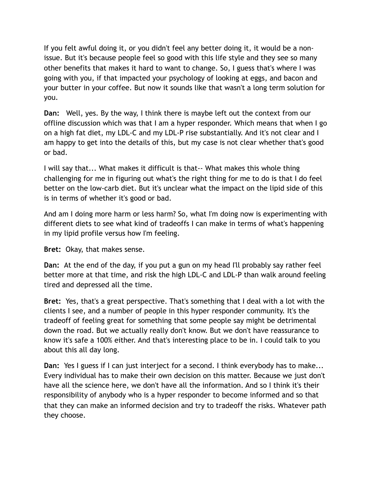If you felt awful doing it, or you didn't feel any better doing it, it would be a nonissue. But it's because people feel so good with this life style and they see so many other benefits that makes it hard to want to change. So, I guess that's where I was going with you, if that impacted your psychology of looking at eggs, and bacon and your butter in your coffee. But now it sounds like that wasn't a long term solution for you.

**Dan:** Well, yes. By the way, I think there is maybe left out the context from our offline discussion which was that I am a hyper responder. Which means that when I go on a high fat diet, my LDL-C and my LDL-P rise substantially. And it's not clear and I am happy to get into the details of this, but my case is not clear whether that's good or bad.

I will say that... What makes it difficult is that-- What makes this whole thing challenging for me in figuring out what's the right thing for me to do is that I do feel better on the low-carb diet. But it's unclear what the impact on the lipid side of this is in terms of whether it's good or bad.

And am I doing more harm or less harm? So, what I'm doing now is experimenting with different diets to see what kind of tradeoffs I can make in terms of what's happening in my lipid profile versus how I'm feeling.

**Bret:** Okay, that makes sense.

**Dan:** At the end of the day, if you put a gun on my head I'll probably say rather feel better more at that time, and risk the high LDL-C and LDL-P than walk around feeling tired and depressed all the time.

**Bret:** Yes, that's a great perspective. That's something that I deal with a lot with the clients I see, and a number of people in this hyper responder community. It's the tradeoff of feeling great for something that some people say might be detrimental down the road. But we actually really don't know. But we don't have reassurance to know it's safe a 100% either. And that's interesting place to be in. I could talk to you about this all day long.

**Dan:** Yes I guess if I can just interject for a second. I think everybody has to make... Every individual has to make their own decision on this matter. Because we just don't have all the science here, we don't have all the information. And so I think it's their responsibility of anybody who is a hyper responder to become informed and so that that they can make an informed decision and try to tradeoff the risks. Whatever path they choose.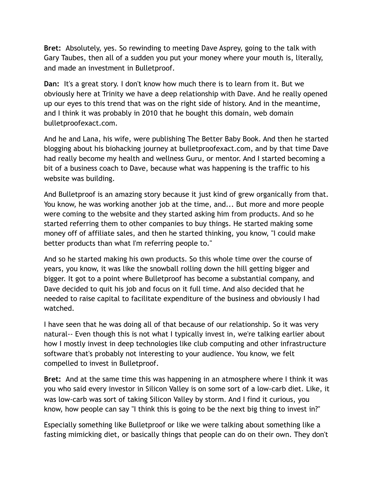**Bret:** Absolutely, yes. So rewinding to meeting Dave Asprey, going to the talk with Gary Taubes, then all of a sudden you put your money where your mouth is, literally, and made an investment in Bulletproof.

**Dan:** It's a great story. I don't know how much there is to learn from it. But we obviously here at Trinity we have a deep relationship with Dave. And he really opened up our eyes to this trend that was on the right side of history. And in the meantime, and I think it was probably in 2010 that he bought this domain, web domain bulletproofexact.com.

And he and Lana, his wife, were publishing The Better Baby Book. And then he started blogging about his biohacking journey at bulletproofexact.com, and by that time Dave had really become my health and wellness Guru, or mentor. And I started becoming a bit of a business coach to Dave, because what was happening is the traffic to his website was building.

And Bulletproof is an amazing story because it just kind of grew organically from that. You know, he was working another job at the time, and... But more and more people were coming to the website and they started asking him from products. And so he started referring them to other companies to buy things. He started making some money off of affiliate sales, and then he started thinking, you know, "I could make better products than what I'm referring people to."

And so he started making his own products. So this whole time over the course of years, you know, it was like the snowball rolling down the hill getting bigger and bigger. It got to a point where Bulletproof has become a substantial company, and Dave decided to quit his job and focus on it full time. And also decided that he needed to raise capital to facilitate expenditure of the business and obviously I had watched.

I have seen that he was doing all of that because of our relationship. So it was very natural-- Even though this is not what I typically invest in, we're talking earlier about how I mostly invest in deep technologies like club computing and other infrastructure software that's probably not interesting to your audience. You know, we felt compelled to invest in Bulletproof.

**Bret:** And at the same time this was happening in an atmosphere where I think it was you who said every investor in Silicon Valley is on some sort of a low-carb diet. Like, it was low-carb was sort of taking Silicon Valley by storm. And I find it curious, you know, how people can say "I think this is going to be the next big thing to invest in?"

Especially something like Bulletproof or like we were talking about something like a fasting mimicking diet, or basically things that people can do on their own. They don't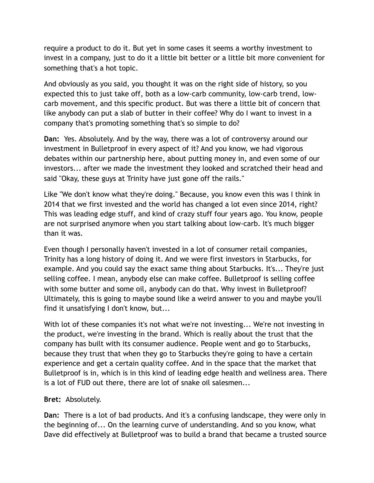require a product to do it. But yet in some cases it seems a worthy investment to invest in a company, just to do it a little bit better or a little bit more convenient for something that's a hot topic.

And obviously as you said, you thought it was on the right side of history, so you expected this to just take off, both as a low-carb community, low-carb trend, lowcarb movement, and this specific product. But was there a little bit of concern that like anybody can put a slab of butter in their coffee? Why do I want to invest in a company that's promoting something that's so simple to do?

**Dan:** Yes. Absolutely. And by the way, there was a lot of controversy around our investment in Bulletproof in every aspect of it? And you know, we had vigorous debates within our partnership here, about putting money in, and even some of our investors... after we made the investment they looked and scratched their head and said "Okay, these guys at Trinity have just gone off the rails."

Like "We don't know what they're doing." Because, you know even this was I think in 2014 that we first invested and the world has changed a lot even since 2014, right? This was leading edge stuff, and kind of crazy stuff four years ago. You know, people are not surprised anymore when you start talking about low-carb. It's much bigger than it was.

Even though I personally haven't invested in a lot of consumer retail companies, Trinity has a long history of doing it. And we were first investors in Starbucks, for example. And you could say the exact same thing about Starbucks. It's... They're just selling coffee. I mean, anybody else can make coffee. Bulletproof is selling coffee with some butter and some oil, anybody can do that. Why invest in Bulletproof? Ultimately, this is going to maybe sound like a weird answer to you and maybe you'll find it unsatisfying I don't know, but...

With lot of these companies it's not what we're not investing... We're not investing in the product, we're investing in the brand. Which is really about the trust that the company has built with its consumer audience. People went and go to Starbucks, because they trust that when they go to Starbucks they're going to have a certain experience and get a certain quality coffee. And in the space that the market that Bulletproof is in, which is in this kind of leading edge health and wellness area. There is a lot of FUD out there, there are lot of snake oil salesmen...

## **Bret:** Absolutely.

**Dan:** There is a lot of bad products. And it's a confusing landscape, they were only in the beginning of... On the learning curve of understanding. And so you know, what Dave did effectively at Bulletproof was to build a brand that became a trusted source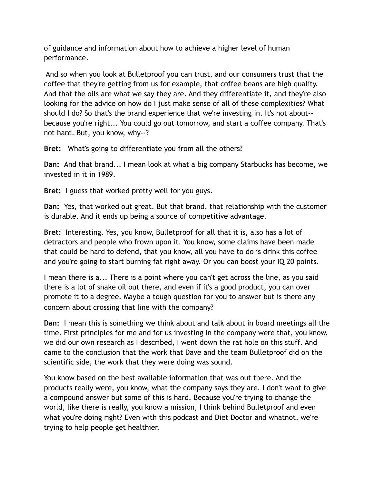of guidance and information about how to achieve a higher level of human performance.

 And so when you look at Bulletproof you can trust, and our consumers trust that the coffee that they're getting from us for example, that coffee beans are high quality. And that the oils are what we say they are. And they differentiate it, and they're also looking for the advice on how do I just make sense of all of these complexities? What should I do? So that's the brand experience that we're investing in. It's not about- because you're right... You could go out tomorrow, and start a coffee company. That's not hard. But, you know, why--?

**Bret:** What's going to differentiate you from all the others?

**Dan:** And that brand... I mean look at what a big company Starbucks has become, we invested in it in 1989.

**Bret:** I guess that worked pretty well for you guys.

**Dan:** Yes, that worked out great. But that brand, that relationship with the customer is durable. And it ends up being a source of competitive advantage.

**Bret:** Interesting. Yes, you know, Bulletproof for all that it is, also has a lot of detractors and people who frown upon it. You know, some claims have been made that could be hard to defend, that you know, all you have to do is drink this coffee and you're going to start burning fat right away. Or you can boost your IQ 20 points.

I mean there is a... There is a point where you can't get across the line, as you said there is a lot of snake oil out there, and even if it's a good product, you can over promote it to a degree. Maybe a tough question for you to answer but is there any concern about crossing that line with the company?

**Dan:** I mean this is something we think about and talk about in board meetings all the time. First principles for me and for us investing in the company were that, you know, we did our own research as I described, I went down the rat hole on this stuff. And came to the conclusion that the work that Dave and the team Bulletproof did on the scientific side, the work that they were doing was sound.

You know based on the best available information that was out there. And the products really were, you know, what the company says they are. I don't want to give a compound answer but some of this is hard. Because you're trying to change the world, like there is really, you know a mission, I think behind Bulletproof and even what you're doing right? Even with this podcast and Diet Doctor and whatnot, we're trying to help people get healthier.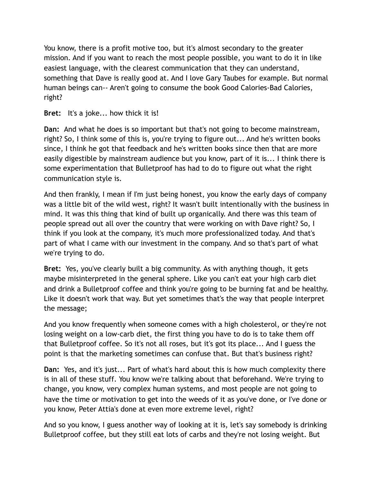You know, there is a profit motive too, but it's almost secondary to the greater mission. And if you want to reach the most people possible, you want to do it in like easiest language, with the clearest communication that they can understand, something that Dave is really good at. And I love Gary Taubes for example. But normal human beings can-- Aren't going to consume the book Good Calories-Bad Calories, right?

**Bret:** It's a joke... how thick it is!

**Dan:** And what he does is so important but that's not going to become mainstream, right? So, I think some of this is, you're trying to figure out... And he's written books since, I think he got that feedback and he's written books since then that are more easily digestible by mainstream audience but you know, part of it is... I think there is some experimentation that Bulletproof has had to do to figure out what the right communication style is.

And then frankly, I mean if I'm just being honest, you know the early days of company was a little bit of the wild west, right? It wasn't built intentionally with the business in mind. It was this thing that kind of built up organically. And there was this team of people spread out all over the country that were working on with Dave right? So, I think if you look at the company, it's much more professionalized today. And that's part of what I came with our investment in the company. And so that's part of what we're trying to do.

**Bret:** Yes, you've clearly built a big community. As with anything though, it gets maybe misinterpreted in the general sphere. Like you can't eat your high carb diet and drink a Bulletproof coffee and think you're going to be burning fat and be healthy. Like it doesn't work that way. But yet sometimes that's the way that people interpret the message;

And you know frequently when someone comes with a high cholesterol, or they're not losing weight on a low-carb diet, the first thing you have to do is to take them off that Bulletproof coffee. So it's not all roses, but it's got its place... And I guess the point is that the marketing sometimes can confuse that. But that's business right?

**Dan:** Yes, and it's just... Part of what's hard about this is how much complexity there is in all of these stuff. You know we're talking about that beforehand. We're trying to change, you know, very complex human systems, and most people are not going to have the time or motivation to get into the weeds of it as you've done, or I've done or you know, Peter Attia's done at even more extreme level, right?

And so you know, I guess another way of looking at it is, let's say somebody is drinking Bulletproof coffee, but they still eat lots of carbs and they're not losing weight. But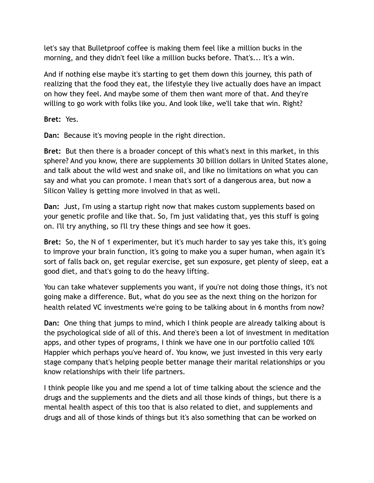let's say that Bulletproof coffee is making them feel like a million bucks in the morning, and they didn't feel like a million bucks before. That's... It's a win.

And if nothing else maybe it's starting to get them down this journey, this path of realizing that the food they eat, the lifestyle they live actually does have an impact on how they feel. And maybe some of them then want more of that. And they're willing to go work with folks like you. And look like, we'll take that win. Right?

**Bret:** Yes.

**Dan:** Because it's moving people in the right direction.

**Bret:** But then there is a broader concept of this what's next in this market, in this sphere? And you know, there are supplements 30 billion dollars in United States alone, and talk about the wild west and snake oil, and like no limitations on what you can say and what you can promote. I mean that's sort of a dangerous area, but now a Silicon Valley is getting more involved in that as well.

**Dan:** Just, I'm using a startup right now that makes custom supplements based on your genetic profile and like that. So, I'm just validating that, yes this stuff is going on. I'll try anything, so I'll try these things and see how it goes.

**Bret:** So, the N of 1 experimenter, but it's much harder to say yes take this, it's going to improve your brain function, it's going to make you a super human, when again it's sort of falls back on, get regular exercise, get sun exposure, get plenty of sleep, eat a good diet, and that's going to do the heavy lifting.

You can take whatever supplements you want, if you're not doing those things, it's not going make a difference. But, what do you see as the next thing on the horizon for health related VC investments we're going to be talking about in 6 months from now?

**Dan:** One thing that jumps to mind, which I think people are already talking about is the psychological side of all of this. And there's been a lot of investment in meditation apps, and other types of programs, I think we have one in our portfolio called 10% Happier which perhaps you've heard of. You know, we just invested in this very early stage company that's helping people better manage their marital relationships or you know relationships with their life partners.

I think people like you and me spend a lot of time talking about the science and the drugs and the supplements and the diets and all those kinds of things, but there is a mental health aspect of this too that is also related to diet, and supplements and drugs and all of those kinds of things but it's also something that can be worked on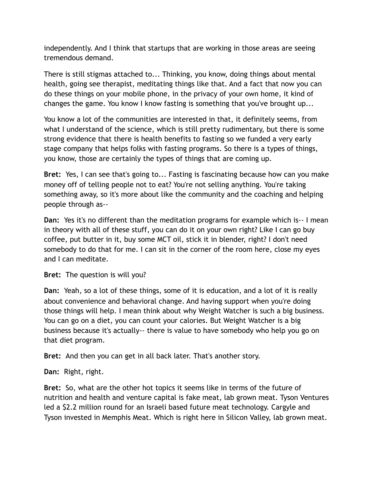independently. And I think that startups that are working in those areas are seeing tremendous demand.

There is still stigmas attached to... Thinking, you know, doing things about mental health, going see therapist, meditating things like that. And a fact that now you can do these things on your mobile phone, in the privacy of your own home, it kind of changes the game. You know I know fasting is something that you've brought up...

You know a lot of the communities are interested in that, it definitely seems, from what I understand of the science, which is still pretty rudimentary, but there is some strong evidence that there is health benefits to fasting so we funded a very early stage company that helps folks with fasting programs. So there is a types of things, you know, those are certainly the types of things that are coming up.

**Bret:** Yes, I can see that's going to... Fasting is fascinating because how can you make money off of telling people not to eat? You're not selling anything. You're taking something away, so it's more about like the community and the coaching and helping people through as--

**Dan:** Yes it's no different than the meditation programs for example which is-- I mean in theory with all of these stuff, you can do it on your own right? Like I can go buy coffee, put butter in it, buy some MCT oil, stick it in blender, right? I don't need somebody to do that for me. I can sit in the corner of the room here, close my eyes and I can meditate.

**Bret:** The question is will you?

**Dan:** Yeah, so a lot of these things, some of it is education, and a lot of it is really about convenience and behavioral change. And having support when you're doing those things will help. I mean think about why Weight Watcher is such a big business. You can go on a diet, you can count your calories. But Weight Watcher is a big business because it's actually-- there is value to have somebody who help you go on that diet program.

**Bret:** And then you can get in all back later. That's another story.

**Dan:** Right, right.

**Bret:** So, what are the other hot topics it seems like in terms of the future of nutrition and health and venture capital is fake meat, lab grown meat. Tyson Ventures led a \$2.2 million round for an Israeli based future meat technology. Cargyle and Tyson invested in Memphis Meat. Which is right here in Silicon Valley, lab grown meat.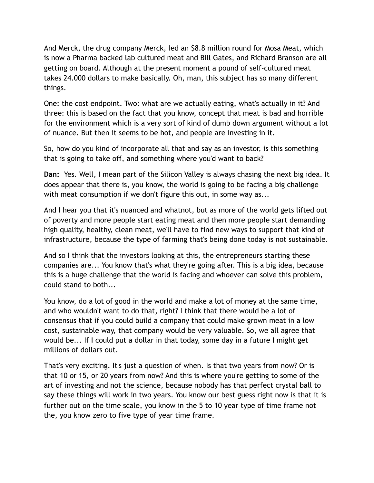And Merck, the drug company Merck, led an \$8.8 million round for Mosa Meat, which is now a Pharma backed lab cultured meat and Bill Gates, and Richard Branson are all getting on board. Although at the present moment a pound of self-cultured meat takes 24.000 dollars to make basically. Oh, man, this subject has so many different things.

One: the cost endpoint. Two: what are we actually eating, what's actually in it? And three: this is based on the fact that you know, concept that meat is bad and horrible for the environment which is a very sort of kind of dumb down argument without a lot of nuance. But then it seems to be hot, and people are investing in it.

So, how do you kind of incorporate all that and say as an investor, is this something that is going to take off, and something where you'd want to back?

**Dan:** Yes. Well, I mean part of the Silicon Valley is always chasing the next big idea. It does appear that there is, you know, the world is going to be facing a big challenge with meat consumption if we don't figure this out, in some way as...

And I hear you that it's nuanced and whatnot, but as more of the world gets lifted out of poverty and more people start eating meat and then more people start demanding high quality, healthy, clean meat, we'll have to find new ways to support that kind of infrastructure, because the type of farming that's being done today is not sustainable.

And so I think that the investors looking at this, the entrepreneurs starting these companies are... You know that's what they're going after. This is a big idea, because this is a huge challenge that the world is facing and whoever can solve this problem, could stand to both...

You know, do a lot of good in the world and make a lot of money at the same time, and who wouldn't want to do that, right? I think that there would be a lot of consensus that if you could build a company that could make grown meat in a low cost, sustainable way, that company would be very valuable. So, we all agree that would be... If I could put a dollar in that today, some day in a future I might get millions of dollars out.

That's very exciting. It's just a question of when. Is that two years from now? Or is that 10 or 15, or 20 years from now? And this is where you're getting to some of the art of investing and not the science, because nobody has that perfect crystal ball to say these things will work in two years. You know our best guess right now is that it is further out on the time scale, you know in the 5 to 10 year type of time frame not the, you know zero to five type of year time frame.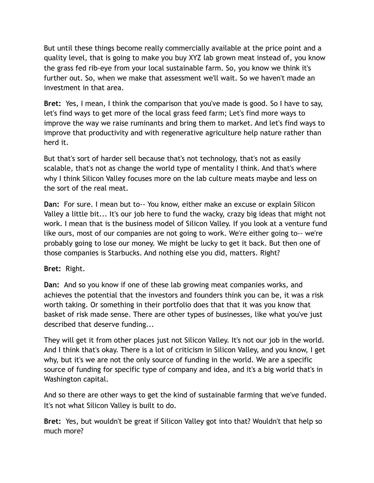But until these things become really commercially available at the price point and a quality level, that is going to make you buy XYZ lab grown meat instead of, you know the grass fed rib-eye from your local sustainable farm. So, you know we think it's further out. So, when we make that assessment we'll wait. So we haven't made an investment in that area.

**Bret:** Yes, I mean, I think the comparison that you've made is good. So I have to say, let's find ways to get more of the local grass feed farm; Let's find more ways to improve the way we raise ruminants and bring them to market. And let's find ways to improve that productivity and with regenerative agriculture help nature rather than herd it.

But that's sort of harder sell because that's not technology, that's not as easily scalable, that's not as change the world type of mentality I think. And that's where why I think Silicon Valley focuses more on the lab culture meats maybe and less on the sort of the real meat.

**Dan:** For sure. I mean but to-- You know, either make an excuse or explain Silicon Valley a little bit... It's our job here to fund the wacky, crazy big ideas that might not work. I mean that is the business model of Silicon Valley. If you look at a venture fund like ours, most of our companies are not going to work. We're either going to-- we're probably going to lose our money. We might be lucky to get it back. But then one of those companies is Starbucks. And nothing else you did, matters. Right?

## **Bret:** Right.

**Dan:** And so you know if one of these lab growing meat companies works, and achieves the potential that the investors and founders think you can be, it was a risk worth taking. Or something in their portfolio does that that it was you know that basket of risk made sense. There are other types of businesses, like what you've just described that deserve funding...

They will get it from other places just not Silicon Valley. It's not our job in the world. And I think that's okay. There is a lot of criticism in Silicon Valley, and you know, I get why, but it's we are not the only source of funding in the world. We are a specific source of funding for specific type of company and idea, and it's a big world that's in Washington capital.

And so there are other ways to get the kind of sustainable farming that we've funded. It's not what Silicon Valley is built to do.

**Bret:** Yes, but wouldn't be great if Silicon Valley got into that? Wouldn't that help so much more?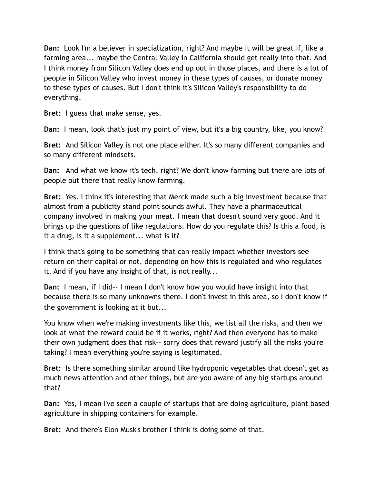**Dan:** Look I'm a believer in specialization, right? And maybe it will be great if, like a farming area... maybe the Central Valley in California should get really into that. And I think money from Silicon Valley does end up out in those places, and there is a lot of people in Silicon Valley who invest money in these types of causes, or donate money to these types of causes. But I don't think it's Silicon Valley's responsibility to do everything.

**Bret:** I guess that make sense, yes.

**Dan:** I mean, look that's just my point of view, but it's a big country, like, you know?

**Bret:** And Silicon Valley is not one place either. It's so many different companies and so many different mindsets.

**Dan:** And what we know it's tech, right? We don't know farming but there are lots of people out there that really know farming.

**Bret:** Yes. I think it's interesting that Merck made such a big investment because that almost from a publicity stand point sounds awful. They have a pharmaceutical company involved in making your meat. I mean that doesn't sound very good. And it brings up the questions of like regulations. How do you regulate this? Is this a food, is it a drug, is it a supplement... what is it?

I think that's going to be something that can really impact whether investors see return on their capital or not, depending on how this is regulated and who regulates it. And if you have any insight of that, is not really...

**Dan:** I mean, if I did-- I mean I don't know how you would have insight into that because there is so many unknowns there. I don't invest in this area, so I don't know if the government is looking at it but...

You know when we're making investments like this, we list all the risks, and then we look at what the reward could be if it works, right? And then everyone has to make their own judgment does that risk-- sorry does that reward justify all the risks you're taking? I mean everything you're saying is legitimated.

**Bret:** Is there something similar around like hydroponic vegetables that doesn't get as much news attention and other things, but are you aware of any big startups around that?

**Dan:** Yes, I mean I've seen a couple of startups that are doing agriculture, plant based agriculture in shipping containers for example.

**Bret:** And there's Elon Musk's brother I think is doing some of that.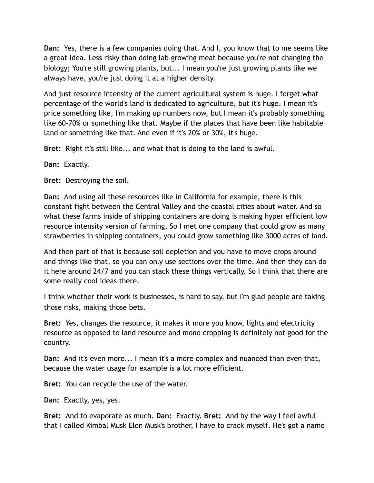**Dan:** Yes, there is a few companies doing that. And I, you know that to me seems like a great idea. Less risky than doing lab growing meat because you're not changing the biology; You're still growing plants, but... I mean you're just growing plants like we always have, you're just doing it at a higher density.

And just resource intensity of the current agricultural system is huge. I forget what percentage of the world's land is dedicated to agriculture, but it's huge. I mean it's price something like, I'm making up numbers now, but I mean it's probably something like 60-70% or something like that. Maybe if the places that have been like habitable land or something like that. And even if it's 20% or 30%, it's huge.

**Bret:** Right it's still like... and what that is doing to the land is awful.

**Dan:** Exactly.

**Bret:** Destroying the soil.

**Dan:** And using all these resources like in California for example, there is this constant fight between the Central Valley and the coastal cities about water. And so what these farms inside of shipping containers are doing is making hyper efficient low resource intensity version of farming. So I met one company that could grow as many strawberries in shipping containers, you could grow something like 3000 acres of land.

And then part of that is because soil depletion and you have to move crops around and things like that, so you can only use sections over the time. And then they can do it here around 24/7 and you can stack these things vertically. So I think that there are some really cool ideas there.

I think whether their work is businesses, is hard to say, but I'm glad people are taking those risks, making those bets.

**Bret:** Yes, changes the resource, it makes it more you know, lights and electricity resource as opposed to land resource and mono cropping is definitely not good for the country.

**Dan:** And it's even more... I mean it's a more complex and nuanced than even that, because the water usage for example is a lot more efficient.

**Bret:** You can recycle the use of the water.

**Dan:** Exactly, yes, yes.

**Bret:** And to evaporate as much. **Dan:** Exactly. **Bret:** And by the way I feel awful that I called Kimbal Musk Elon Musk's brother, I have to crack myself. He's got a name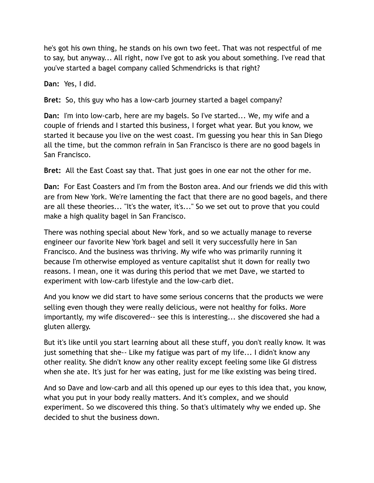he's got his own thing, he stands on his own two feet. That was not respectful of me to say, but anyway... All right, now I've got to ask you about something. I've read that you've started a bagel company called Schmendricks is that right?

**Dan:** Yes, I did.

**Bret:** So, this guy who has a low-carb journey started a bagel company?

**Dan:** I'm into low-carb, here are my bagels. So I've started... We, my wife and a couple of friends and I started this business, I forget what year. But you know, we started it because you live on the west coast. I'm guessing you hear this in San Diego all the time, but the common refrain in San Francisco is there are no good bagels in San Francisco.

**Bret:** All the East Coast say that. That just goes in one ear not the other for me.

**Dan:** For East Coasters and I'm from the Boston area. And our friends we did this with are from New York. We're lamenting the fact that there are no good bagels, and there are all these theories... "It's the water, it's..." So we set out to prove that you could make a high quality bagel in San Francisco.

There was nothing special about New York, and so we actually manage to reverse engineer our favorite New York bagel and sell it very successfully here in San Francisco. And the business was thriving. My wife who was primarily running it because I'm otherwise employed as venture capitalist shut it down for really two reasons. I mean, one it was during this period that we met Dave, we started to experiment with low-carb lifestyle and the low-carb diet.

And you know we did start to have some serious concerns that the products we were selling even though they were really delicious, were not healthy for folks. More importantly, my wife discovered-- see this is interesting... she discovered she had a gluten allergy.

But it's like until you start learning about all these stuff, you don't really know. It was just something that she-- Like my fatigue was part of my life... I didn't know any other reality. She didn't know any other reality except feeling some like GI distress when she ate. It's just for her was eating, just for me like existing was being tired.

And so Dave and low-carb and all this opened up our eyes to this idea that, you know, what you put in your body really matters. And it's complex, and we should experiment. So we discovered this thing. So that's ultimately why we ended up. She decided to shut the business down.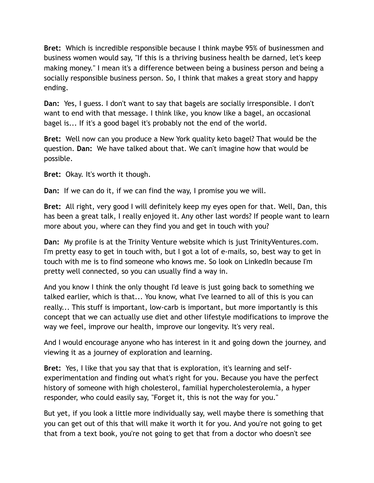**Bret:** Which is incredible responsible because I think maybe 95% of businessmen and business women would say, "If this is a thriving business health be darned, let's keep making money." I mean it's a difference between being a business person and being a socially responsible business person. So, I think that makes a great story and happy ending.

**Dan:** Yes, I guess. I don't want to say that bagels are socially irresponsible. I don't want to end with that message. I think like, you know like a bagel, an occasional bagel is... If it's a good bagel it's probably not the end of the world.

**Bret:** Well now can you produce a New York quality keto bagel? That would be the question. **Dan:** We have talked about that. We can't imagine how that would be possible.

**Bret:** Okay. It's worth it though.

**Dan:** If we can do it, if we can find the way, I promise you we will.

**Bret:** All right, very good I will definitely keep my eyes open for that. Well, Dan, this has been a great talk, I really enjoyed it. Any other last words? If people want to learn more about you, where can they find you and get in touch with you?

**Dan:** My profile is at the Trinity Venture website which is just TrinityVentures.com. I'm pretty easy to get in touch with, but I got a lot of e-mails, so, best way to get in touch with me is to find someone who knows me. So look on LinkedIn because I'm pretty well connected, so you can usually find a way in.

And you know I think the only thought I'd leave is just going back to something we talked earlier, which is that... You know, what I've learned to all of this is you can really... This stuff is important, low-carb is important, but more importantly is this concept that we can actually use diet and other lifestyle modifications to improve the way we feel, improve our health, improve our longevity. It's very real.

And I would encourage anyone who has interest in it and going down the journey, and viewing it as a journey of exploration and learning.

**Bret:** Yes, I like that you say that that is exploration, it's learning and selfexperimentation and finding out what's right for you. Because you have the perfect history of someone with high cholesterol, familial hypercholesterolemia, a hyper responder, who could easily say, "Forget it, this is not the way for you."

But yet, if you look a little more individually say, well maybe there is something that you can get out of this that will make it worth it for you. And you're not going to get that from a text book, you're not going to get that from a doctor who doesn't see